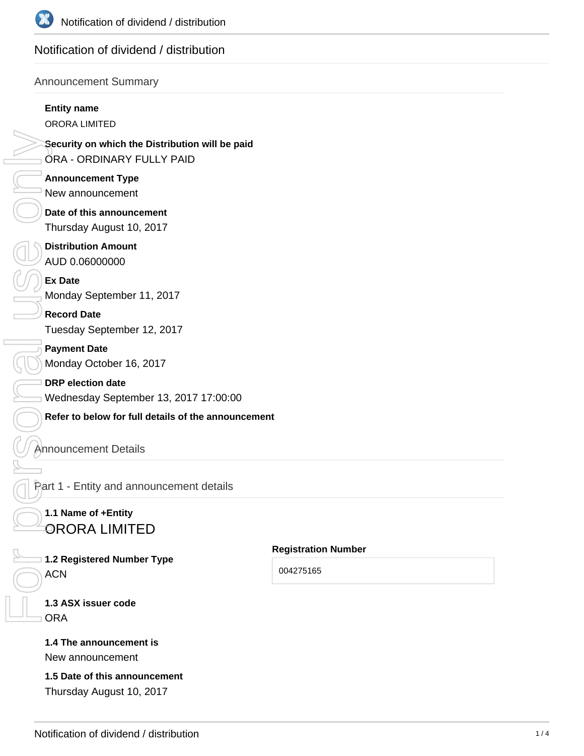

# Notification of dividend / distribution

#### Announcement Summary

#### **Entity name**

ORORA LIMITED

**Security on which the Distribution will be paid** ORA - ORDINARY FULLY PAID

**Announcement Type** New announcement

**Date of this announcement** Thursday August 10, 2017

**Distribution Amount** AUD 0.06000000

**Ex Date** Monday September 11, 2017

**Record Date** Tuesday September 12, 2017

**Payment Date** Monday October 16, 2017

**DRP election date** Wednesday September 13, 2017 17:00:00

**Refer to below for full details of the announcement**

## Announcement Details

Part 1 - Entity and announcement details

# **1.1 Name of +Entity** ORORA LIMITED

**1.2 Registered Number Type ACN** FOR PERSONAL PRESS PRESS ONLY

**Registration Number**

004275165

**1.3 ASX issuer code ORA** 

#### **1.4 The announcement is** New announcement

**1.5 Date of this announcement** Thursday August 10, 2017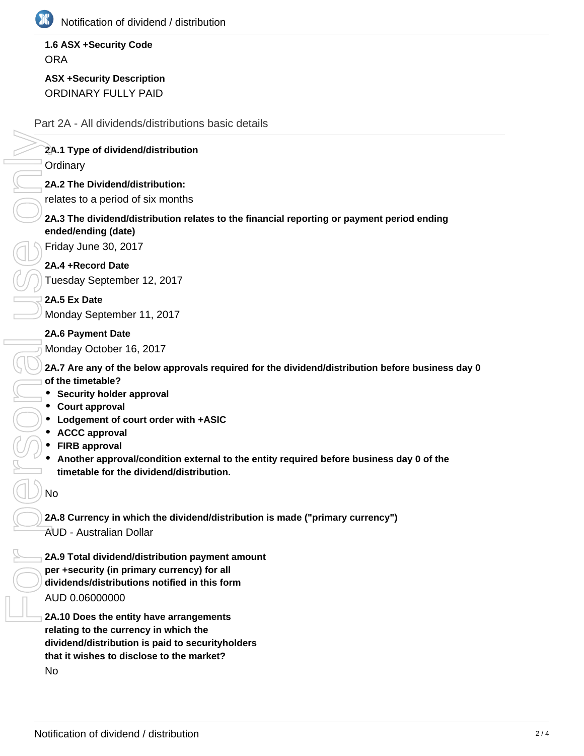

## **1.6 ASX +Security Code ORA**

**ASX +Security Description** ORDINARY FULLY PAID

#### Part 2A - All dividends/distributions basic details

## **2A.1 Type of dividend/distribution**

**Ordinary** 

**2A.2 The Dividend/distribution:**

relates to a period of six months

#### **2A.3 The dividend/distribution relates to the financial reporting or payment period ending ended/ending (date)**

Friday June 30, 2017

**2A.4 +Record Date**

Tuesday September 12, 2017

**2A.5 Ex Date** Monday September 11, 2017

#### **2A.6 Payment Date**

Monday October 16, 2017

**2A.7 Are any of the below approvals required for the dividend/distribution before business day 0 of the timetable?**

- **Security holder approval**
- **Court approval**
- **Lodgement of court order with +ASIC**
- **ACCC approval**
- **FIRB approval**
- **Another approval/condition external to the entity required before business day 0 of the timetable for the dividend/distribution.**

No

**2A.8 Currency in which the dividend/distribution is made ("primary currency")** AUD - Australian Dollar

**2A.9 Total dividend/distribution payment amount per +security (in primary currency) for all dividends/distributions notified in this form** AUD 0.06000000

**2A.10 Does the entity have arrangements relating to the currency in which the dividend/distribution is paid to securityholders that it wishes to disclose to the market? No**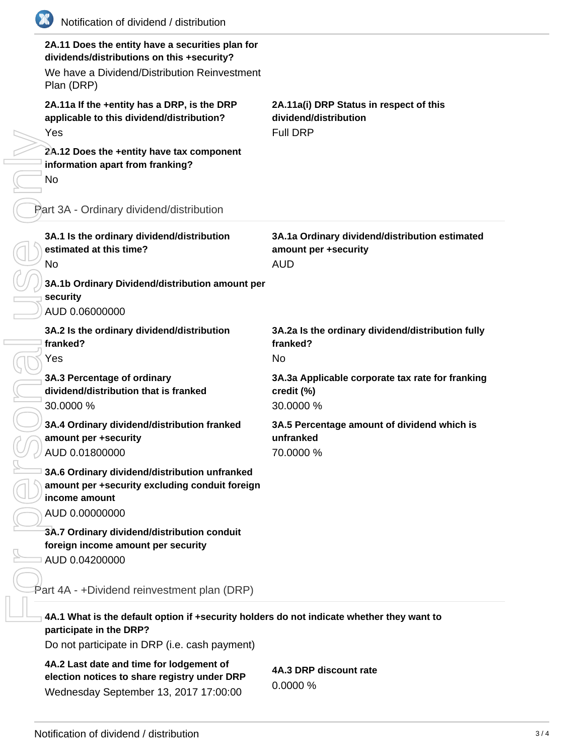| Notification of dividend / distribution                                                                                                                      |                                                                                      |
|--------------------------------------------------------------------------------------------------------------------------------------------------------------|--------------------------------------------------------------------------------------|
| 2A.11 Does the entity have a securities plan for<br>dividends/distributions on this +security?<br>We have a Dividend/Distribution Reinvestment<br>Plan (DRP) |                                                                                      |
| 2A.11a If the +entity has a DRP, is the DRP<br>applicable to this dividend/distribution?<br>Yes                                                              | 2A.11a(i) DRP Status in respect of this<br>dividend/distribution<br><b>Full DRP</b>  |
| 2A.12 Does the +entity have tax component<br>information apart from franking?<br>No                                                                          |                                                                                      |
| Part 3A - Ordinary dividend/distribution                                                                                                                     |                                                                                      |
| 3A.1 Is the ordinary dividend/distribution<br>estimated at this time?<br>No                                                                                  | 3A.1a Ordinary dividend/distribution estimated<br>amount per +security<br><b>AUD</b> |
| 3A.1b Ordinary Dividend/distribution amount per<br>security<br>AUD 0.06000000                                                                                |                                                                                      |
| 3A.2 Is the ordinary dividend/distribution<br>franked?<br>Yes                                                                                                | 3A.2a Is the ordinary dividend/distribution fully<br>franked?<br><b>No</b>           |
| 3A.3 Percentage of ordinary<br>dividend/distribution that is franked<br>30.0000 %                                                                            | 3A.3a Applicable corporate tax rate for franking<br>credit (%)<br>30.0000 %          |
| 3A.4 Ordinary dividend/distribution franked<br>amount per +security<br>AUD 0.01800000                                                                        | 3A.5 Percentage amount of dividend which is<br>unfranked<br>70.0000 %                |
| 3A.6 Ordinary dividend/distribution unfranked<br>amount per +security excluding conduit foreign<br>income amount<br>AUD 0.00000000                           |                                                                                      |
| 3A.7 Ordinary dividend/distribution conduit<br>foreign income amount per security<br>AUD 0.04200000                                                          |                                                                                      |
| Part 4A - +Dividend reinvestment plan (DRP)                                                                                                                  |                                                                                      |
| 4A.1 What is the default option if +security holders do not indicate whether they want to<br>participate in the DRP?                                         |                                                                                      |
| Do not participate in DRP (i.e. cash payment)                                                                                                                |                                                                                      |
| 4A.2 Last date and time for lodgement of<br>election notices to share registry under DRP<br>Wednesday September 13, 2017 17:00:00                            | 4A.3 DRP discount rate<br>0.0000%                                                    |